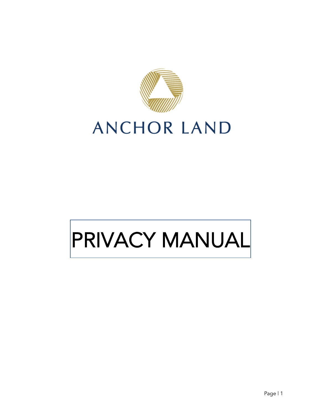

# **ANCHOR LAND**

# PRIVACY MANUAL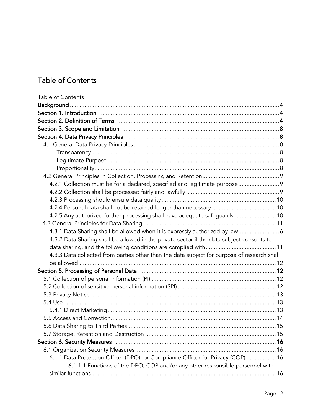# Table of Contents

| Table of Contents                                                                           |  |
|---------------------------------------------------------------------------------------------|--|
|                                                                                             |  |
|                                                                                             |  |
|                                                                                             |  |
|                                                                                             |  |
|                                                                                             |  |
|                                                                                             |  |
|                                                                                             |  |
|                                                                                             |  |
|                                                                                             |  |
|                                                                                             |  |
| 4.2.1 Collection must be for a declared, specified and legitimate purpose  9                |  |
|                                                                                             |  |
|                                                                                             |  |
|                                                                                             |  |
| 4.2.5 Any authorized further processing shall have adequate safeguards 10                   |  |
|                                                                                             |  |
| 4.3.1 Data Sharing shall be allowed when it is expressly authorized by law 6                |  |
| 4.3.2 Data Sharing shall be allowed in the private sector if the data subject consents to   |  |
|                                                                                             |  |
| 4.3.3 Data collected from parties other than the data subject for purpose of research shall |  |
|                                                                                             |  |
|                                                                                             |  |
|                                                                                             |  |
|                                                                                             |  |
|                                                                                             |  |
|                                                                                             |  |
|                                                                                             |  |
|                                                                                             |  |
|                                                                                             |  |
|                                                                                             |  |
|                                                                                             |  |
|                                                                                             |  |
| 6.1.1 Data Protection Officer (DPO), or Compliance Officer for Privacy (COP)  16            |  |
| 6.1.1.1 Functions of the DPO, COP and/or any other responsible personnel with               |  |
|                                                                                             |  |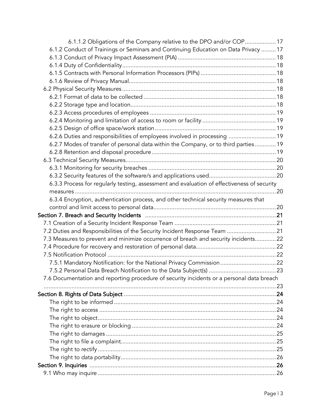| 6.1.1.2 Obligations of the Company relative to the DPO and/or COP 17                        |  |
|---------------------------------------------------------------------------------------------|--|
| 6.1.2 Conduct of Trainings or Seminars and Continuing Education on Data Privacy  17         |  |
|                                                                                             |  |
|                                                                                             |  |
|                                                                                             |  |
|                                                                                             |  |
|                                                                                             |  |
|                                                                                             |  |
|                                                                                             |  |
|                                                                                             |  |
|                                                                                             |  |
|                                                                                             |  |
| 6.2.6 Duties and responsibilities of employees involved in processing  19                   |  |
| 6.2.7 Modes of transfer of personal data within the Company, or to third parties 19         |  |
|                                                                                             |  |
|                                                                                             |  |
|                                                                                             |  |
|                                                                                             |  |
| 6.3.3 Process for regularly testing, assessment and evaluation of effectiveness of security |  |
|                                                                                             |  |
| 6.3.4 Encryption, authentication process, and other technical security measures that        |  |
|                                                                                             |  |
|                                                                                             |  |
|                                                                                             |  |
| 7.2 Duties and Responsibilities of the Security Incident Response Team  21                  |  |
| 7.3 Measures to prevent and minimize occurrence of breach and security incidents 22         |  |
|                                                                                             |  |
|                                                                                             |  |
|                                                                                             |  |
|                                                                                             |  |
| 7.6 Documentation and reporting procedure of security incidents or a personal data breach   |  |
|                                                                                             |  |
|                                                                                             |  |
|                                                                                             |  |
|                                                                                             |  |
|                                                                                             |  |
|                                                                                             |  |
|                                                                                             |  |
|                                                                                             |  |
|                                                                                             |  |
|                                                                                             |  |
|                                                                                             |  |
|                                                                                             |  |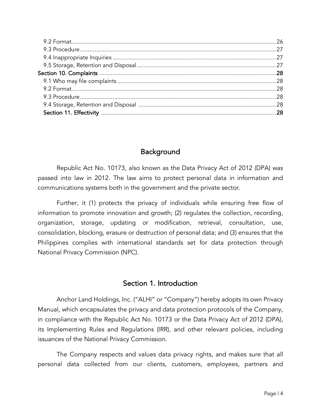# **Background**

Republic Act No. 10173, also known as the Data Privacy Act of 2012 (DPA) was passed into law in 2012. The law aims to protect personal data in information and communications systems both in the government and the private sector.

Further, it (1) protects the privacy of individuals while ensuring free flow of information to promote innovation and growth; (2) regulates the collection, recording, organization, storage, updating or modification, retrieval, consultation, use, consolidation, blocking, erasure or destruction of personal data; and (3) ensures that the Philippines complies with international standards set for data protection through National Privacy Commission (NPC).

# Section 1. Introduction

Anchor Land Holdings, Inc. ("ALHI" or "Company") hereby adopts its own Privacy Manual, which encapsulates the privacy and data protection protocols of the Company, in compliance with the Republic Act No. 10173 or the Data Privacy Act of 2012 (DPA), its Implementing Rules and Regulations (IRR), and other relevant policies, including issuances of the National Privacy Commission.

The Company respects and values data privacy rights, and makes sure that all personal data collected from our clients, customers, employees, partners and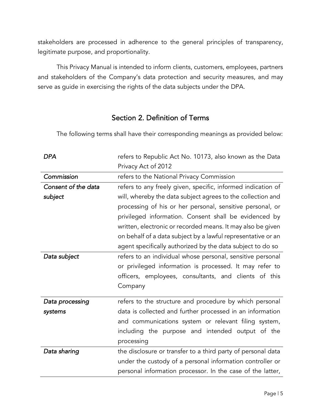stakeholders are processed in adherence to the general principles of transparency, legitimate purpose, and proportionality.

This Privacy Manual is intended to inform clients, customers, employees, partners and stakeholders of the Company's data protection and security measures, and may serve as guide in exercising the rights of the data subjects under the DPA.

# Section 2. Definition of Terms

| <b>DPA</b>          | refers to Republic Act No. 10173, also known as the Data     |
|---------------------|--------------------------------------------------------------|
|                     | Privacy Act of 2012                                          |
| Commission          | refers to the National Privacy Commission                    |
| Consent of the data | refers to any freely given, specific, informed indication of |
| subject             | will, whereby the data subject agrees to the collection and  |
|                     | processing of his or her personal, sensitive personal, or    |
|                     | privileged information. Consent shall be evidenced by        |
|                     | written, electronic or recorded means. It may also be given  |
|                     | on behalf of a data subject by a lawful representative or an |
|                     | agent specifically authorized by the data subject to do so   |
| Data subject        | refers to an individual whose personal, sensitive personal   |
|                     | or privileged information is processed. It may refer to      |
|                     | officers, employees, consultants, and clients of this        |
|                     | Company                                                      |
| Data processing     | refers to the structure and procedure by which personal      |
| systems             | data is collected and further processed in an information    |
|                     | and communications system or relevant filing system,         |
|                     | including the purpose and intended output of the             |
|                     | processing                                                   |
| Data sharing        | the disclosure or transfer to a third party of personal data |
|                     | under the custody of a personal information controller or    |
|                     | personal information processor. In the case of the latter,   |

The following terms shall have their corresponding meanings as provided below: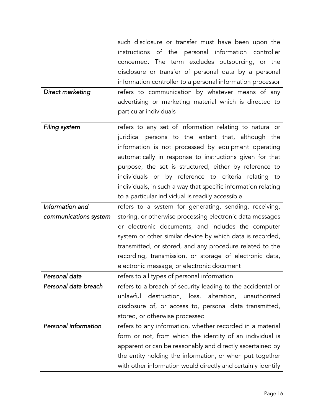|                  | such disclosure or transfer must have been upon the        |
|------------------|------------------------------------------------------------|
|                  | instructions of the personal information controller        |
|                  | concerned. The term excludes outsourcing, or the           |
|                  | disclosure or transfer of personal data by a personal      |
|                  | information controller to a personal information processor |
| Direct marketing | refers to communication by whatever means of any           |
|                  | advertising or marketing material which is directed to     |
|                  | particular individuals                                     |

**Filing system refers** to any set of information relating to natural or juridical persons to the extent that, although the information is not processed by equipment operating automatically in response to instructions given for that purpose, the set is structured, either by reference to individuals or by reference to criteria relating to individuals, in such a way that specific information relating to a particular individual is readily accessible

*Information and communications system*  refers to a system for generating, sending, receiving, storing, or otherwise processing electronic data messages or electronic documents, and includes the computer system or other similar device by which data is recorded, transmitted, or stored, and any procedure related to the recording, transmission, or storage of electronic data, electronic message, or electronic document

*Personal data* refers to all types of personal information *Personal data breach* refers to a breach of security leading to the accidental or unlawful destruction, loss, alteration, unauthorized disclosure of, or access to, personal data transmitted, stored, or otherwise processed *Personal information* refers to any information, whether recorded in a material form or not, from which the identity of an individual is apparent or can be reasonably and directly ascertained by

> the entity holding the information, or when put together with other information would directly and certainly identify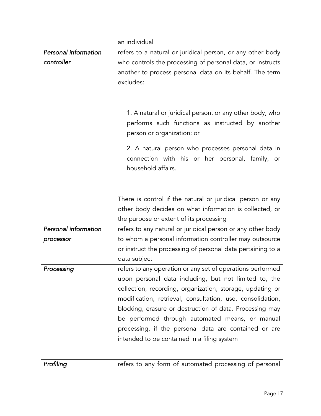|                                    | an individual                                                                                                                                                                                                                                                                                                                                                                                                                                                         |
|------------------------------------|-----------------------------------------------------------------------------------------------------------------------------------------------------------------------------------------------------------------------------------------------------------------------------------------------------------------------------------------------------------------------------------------------------------------------------------------------------------------------|
| Personal information<br>controller | refers to a natural or juridical person, or any other body<br>who controls the processing of personal data, or instructs<br>another to process personal data on its behalf. The term<br>excludes:                                                                                                                                                                                                                                                                     |
|                                    | 1. A natural or juridical person, or any other body, who<br>performs such functions as instructed by another<br>person or organization; or                                                                                                                                                                                                                                                                                                                            |
|                                    | 2. A natural person who processes personal data in<br>connection with his or her personal, family, or<br>household affairs.                                                                                                                                                                                                                                                                                                                                           |
|                                    | There is control if the natural or juridical person or any<br>other body decides on what information is collected, or<br>the purpose or extent of its processing                                                                                                                                                                                                                                                                                                      |
| Personal information<br>processor  | refers to any natural or juridical person or any other body<br>to whom a personal information controller may outsource<br>or instruct the processing of personal data pertaining to a<br>data subject                                                                                                                                                                                                                                                                 |
| Processing                         | refers to any operation or any set of operations performed<br>upon personal data including, but not limited to, the<br>collection, recording, organization, storage, updating or<br>modification, retrieval, consultation, use, consolidation,<br>blocking, erasure or destruction of data. Processing may<br>be performed through automated means, or manual<br>processing, if the personal data are contained or are<br>intended to be contained in a filing system |

**Profiling refers to any form of automated processing of personal**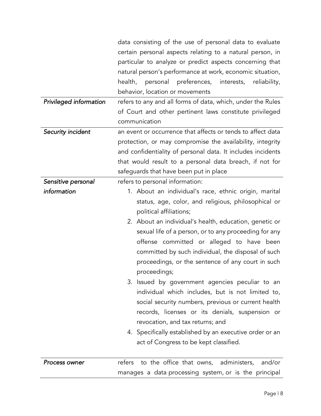|                        | data consisting of the use of personal data to evaluate<br>certain personal aspects relating to a natural person, in<br>particular to analyze or predict aspects concerning that                                                                                                        |
|------------------------|-----------------------------------------------------------------------------------------------------------------------------------------------------------------------------------------------------------------------------------------------------------------------------------------|
|                        | natural person's performance at work, economic situation,                                                                                                                                                                                                                               |
|                        | preferences, interests,<br>health, personal<br>reliability,                                                                                                                                                                                                                             |
|                        | behavior, location or movements                                                                                                                                                                                                                                                         |
| Privileged information | refers to any and all forms of data, which, under the Rules                                                                                                                                                                                                                             |
|                        | of Court and other pertinent laws constitute privileged                                                                                                                                                                                                                                 |
|                        | communication                                                                                                                                                                                                                                                                           |
| Security incident      | an event or occurrence that affects or tends to affect data                                                                                                                                                                                                                             |
|                        | protection, or may compromise the availability, integrity                                                                                                                                                                                                                               |
|                        | and confidentiality of personal data. It includes incidents                                                                                                                                                                                                                             |
|                        | that would result to a personal data breach, if not for                                                                                                                                                                                                                                 |
|                        | safeguards that have been put in place                                                                                                                                                                                                                                                  |
| Sensitive personal     | refers to personal information:                                                                                                                                                                                                                                                         |
| information            | 1. About an individual's race, ethnic origin, marital                                                                                                                                                                                                                                   |
|                        | status, age, color, and religious, philosophical or<br>political affiliations;                                                                                                                                                                                                          |
|                        | 2. About an individual's health, education, genetic or<br>sexual life of a person, or to any proceeding for any<br>offense committed or alleged to have been<br>committed by such individual, the disposal of such<br>proceedings, or the sentence of any court in such<br>proceedings; |
|                        | 3. Issued by government agencies peculiar to an<br>individual which includes, but is not limited to,<br>social security numbers, previous or current health<br>records, licenses or its denials, suspension or<br>revocation, and tax returns; and                                      |
|                        | 4. Specifically established by an executive order or an<br>act of Congress to be kept classified.                                                                                                                                                                                       |
| Process owner          | to the office that owns, administers,<br>and/or<br>refers                                                                                                                                                                                                                               |
|                        | manages a data processing system, or is the principal                                                                                                                                                                                                                                   |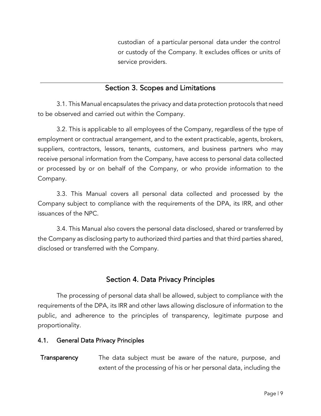custodian of a particular personal data under the control or custody of the Company. It excludes offices or units of service providers.

# Section 3. Scopes and Limitations

3.1. This Manual encapsulates the privacy and data protection protocols that need to be observed and carried out within the Company.

3.2. This is applicable to all employees of the Company, regardless of the type of employment or contractual arrangement, and to the extent practicable, agents, brokers, suppliers, contractors, lessors, tenants, customers, and business partners who may receive personal information from the Company, have access to personal data collected or processed by or on behalf of the Company, or who provide information to the Company.

3.3. This Manual covers all personal data collected and processed by the Company subject to compliance with the requirements of the DPA, its IRR, and other issuances of the NPC.

3.4. This Manual also covers the personal data disclosed, shared or transferred by the Company as disclosing party to authorized third parties and that third parties shared, disclosed or transferred with the Company.

# Section 4. Data Privacy Principles

 The processing of personal data shall be allowed, subject to compliance with the requirements of the DPA, its IRR and other laws allowing disclosure of information to the public, and adherence to the principles of transparency, legitimate purpose and proportionality.

#### 4.1. General Data Privacy Principles

**Transparency** The data subject must be aware of the nature, purpose, and extent of the processing of his or her personal data, including the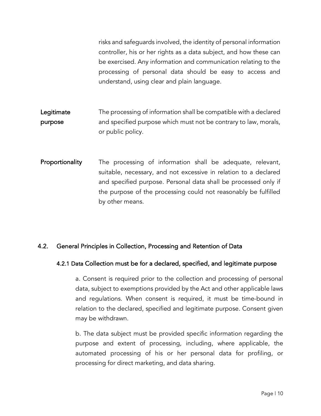risks and safeguards involved, the identity of personal information controller, his or her rights as a data subject, and how these can be exercised. Any information and communication relating to the processing of personal data should be easy to access and understand, using clear and plain language.

- Legitimate purpose The processing of information shall be compatible with a declared and specified purpose which must not be contrary to law, morals, or public policy.
- **Proportionality** The processing of information shall be adequate, relevant, suitable, necessary, and not excessive in relation to a declared and specified purpose. Personal data shall be processed only if the purpose of the processing could not reasonably be fulfilled by other means.

#### 4.2. General Principles in Collection, Processing and Retention of Data

#### 4.2.1 Data Collection must be for a declared, specified, and legitimate purpose

a. Consent is required prior to the collection and processing of personal data, subject to exemptions provided by the Act and other applicable laws and regulations. When consent is required, it must be time-bound in relation to the declared, specified and legitimate purpose. Consent given may be withdrawn.

b. The data subject must be provided specific information regarding the purpose and extent of processing, including, where applicable, the automated processing of his or her personal data for profiling, or processing for direct marketing, and data sharing.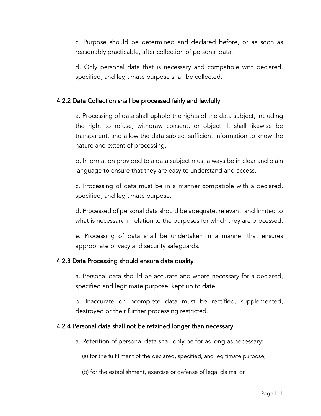c. Purpose should be determined and declared before, or as soon as reasonably practicable, after collection of personal data.

d. Only personal data that is necessary and compatible with declared, specified, and legitimate purpose shall be collected.

#### 4.2.2 Data Collection shall be processed fairly and lawfully

a. Processing of data shall uphold the rights of the data subject, including the right to refuse, withdraw consent, or object. It shall likewise be transparent, and allow the data subject sufficient information to know the nature and extent of processing.

b. Information provided to a data subject must always be in clear and plain language to ensure that they are easy to understand and access.

c. Processing of data must be in a manner compatible with a declared, specified, and legitimate purpose.

d. Processed of personal data should be adequate, relevant, and limited to what is necessary in relation to the purposes for which they are processed.

e. Processing of data shall be undertaken in a manner that ensures appropriate privacy and security safeguards.

#### 4.2.3 Data Processing should ensure data quality

a. Personal data should be accurate and where necessary for a declared, specified and legitimate purpose, kept up to date.

b. Inaccurate or incomplete data must be rectified, supplemented, destroyed or their further processing restricted.

#### 4.2.4 Personal data shall not be retained longer than necessary

a. Retention of personal data shall only be for as long as necessary:

(a) for the fulfillment of the declared, specified, and legitimate purpose;

(b) for the establishment, exercise or defense of legal claims; or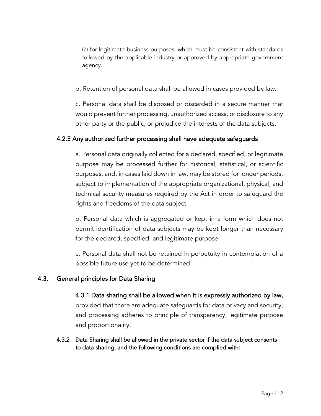(c) for legitimate business purposes, which must be consistent with standards followed by the applicable industry or approved by appropriate government agency.

b. Retention of personal data shall be allowed in cases provided by law.

c. Personal data shall be disposed or discarded in a secure manner that would prevent further processing, unauthorized access, or disclosure to any other party or the public, or prejudice the interests of the data subjects.

#### 4.2.5 Any authorized further processing shall have adequate safeguards

a. Personal data originally collected for a declared, specified, or legitimate purpose may be processed further for historical, statistical, or scientific purposes, and, in cases laid down in law, may be stored for longer periods, subject to implementation of the appropriate organizational, physical, and technical security measures required by the Act in order to safeguard the rights and freedoms of the data subject.

b. Personal data which is aggregated or kept in a form which does not permit identification of data subjects may be kept longer than necessary for the declared, specified, and legitimate purpose.

c. Personal data shall not be retained in perpetuity in contemplation of a possible future use yet to be determined.

#### 4.3. General principles for Data Sharing

- 4.3.1 Data sharing shall be allowed when it is expressly authorized by law, provided that there are adequate safeguards for data privacy and security, and processing adheres to principle of transparency, legitimate purpose and proportionality.
- 4.3.2 Data Sharing shall be allowed in the private sector if the data subject consents to data sharing, and the following conditions are complied with: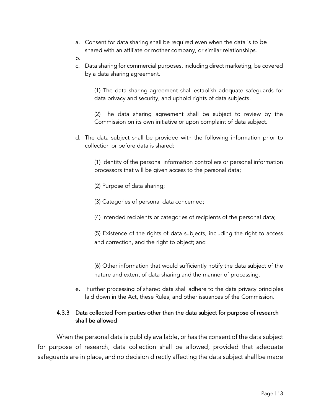- a. Consent for data sharing shall be required even when the data is to be shared with an affiliate or mother company, or similar relationships.
- b.
- c. Data sharing for commercial purposes, including direct marketing, be covered by a data sharing agreement.

(1) The data sharing agreement shall establish adequate safeguards for data privacy and security, and uphold rights of data subjects.

(2) The data sharing agreement shall be subject to review by the Commission on its own initiative or upon complaint of data subject.

d. The data subject shall be provided with the following information prior to collection or before data is shared:

(1) Identity of the personal information controllers or personal information processors that will be given access to the personal data;

- (2) Purpose of data sharing;
- (3) Categories of personal data concerned;
- (4) Intended recipients or categories of recipients of the personal data;
- (5) Existence of the rights of data subjects, including the right to access and correction, and the right to object; and

(6) Other information that would sufficiently notify the data subject of the nature and extent of data sharing and the manner of processing.

e. Further processing of shared data shall adhere to the data privacy principles laid down in the Act, these Rules, and other issuances of the Commission.

#### 4.3.3 Data collected from parties other than the data subject for purpose of research shall be allowed

When the personal data is publicly available, or has the consent of the data subject for purpose of research, data collection shall be allowed; provided that adequate safeguards are in place, and no decision directly affecting the data subject shall be made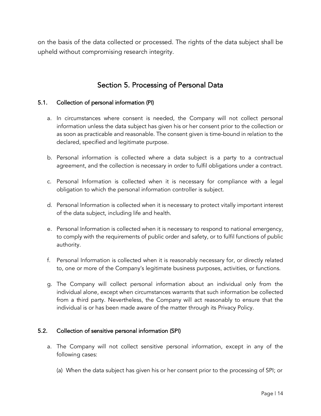on the basis of the data collected or processed. The rights of the data subject shall be upheld without compromising research integrity.

# Section 5. Processing of Personal Data

#### 5.1. Collection of personal information (PI)

- a. In circumstances where consent is needed, the Company will not collect personal information unless the data subject has given his or her consent prior to the collection or as soon as practicable and reasonable. The consent given is time-bound in relation to the declared, specified and legitimate purpose.
- b. Personal information is collected where a data subject is a party to a contractual agreement, and the collection is necessary in order to fulfil obligations under a contract.
- c. Personal Information is collected when it is necessary for compliance with a legal obligation to which the personal information controller is subject.
- d. Personal Information is collected when it is necessary to protect vitally important interest of the data subject, including life and health.
- e. Personal Information is collected when it is necessary to respond to national emergency, to comply with the requirements of public order and safety, or to fulfil functions of public authority.
- f. Personal Information is collected when it is reasonably necessary for, or directly related to, one or more of the Company's legitimate business purposes, activities, or functions.
- g. The Company will collect personal information about an individual only from the individual alone, except when circumstances warrants that such information be collected from a third party. Nevertheless, the Company will act reasonably to ensure that the individual is or has been made aware of the matter through its Privacy Policy.

#### 5.2. Collection of sensitive personal information (SPI)

- a. The Company will not collect sensitive personal information, except in any of the following cases:
	- (a) When the data subject has given his or her consent prior to the processing of SPI; or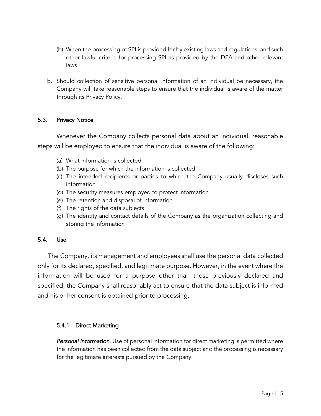- (b) When the processing of SPI is provided for by existing laws and regulations, and such other lawful criteria for processing SPI as provided by the DPA and other relevant laws.
- b. Should collection of sensitive personal information of an individual be necessary, the Company will take reasonable steps to ensure that the individual is aware of the matter through its Privacy Policy.

#### 5.3. Privacy Notice

Whenever the Company collects personal data about an individual, reasonable steps will be employed to ensure that the individual is aware of the following:

- (a) What information is collected
- (b) The purpose for which the information is collected
- (c) The intended recipients or parties to which the Company usually discloses such information
- (d) The security measures employed to protect information
- (e) The retention and disposal of information
- (f) The rights of the data subjects
- (g) The identity and contact details of the Company as the organization collecting and storing the information

#### 5.4. Use

The Company, its management and employees shall use the personal data collected only for its declared, specified, and legitimate purpose. However, in the event where the information will be used for a purpose other than those previously declared and specified, the Company shall reasonably act to ensure that the data subject is informed and his or her consent is obtained prior to processing.

#### 5.4.1 Direct Marketing

*Personal Information*. Use of personal information for direct marketing is permitted where the information has been collected from the data subject and the processing is necessary for the legitimate interests pursued by the Company.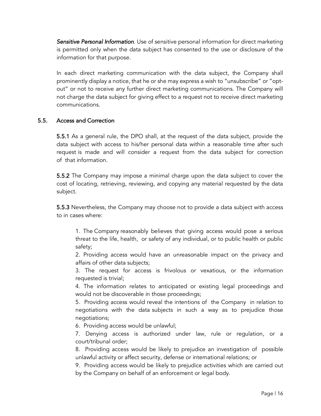*Sensitive Personal Information*. Use of sensitive personal information for direct marketing is permitted only when the data subject has consented to the use or disclosure of the information for that purpose.

In each direct marketing communication with the data subject, the Company shall prominently display a notice, that he or she may express a wish to "unsubscribe" or "optout" or not to receive any further direct marketing communications. The Company will not charge the data subject for giving effect to a request not to receive direct marketing communications.

#### 5.5. Access and Correction

5.5.1 As a general rule, the DPO shall, at the request of the data subject, provide the data subject with access to his/her personal data within a reasonable time after such request is made and will consider a request from the data subject for correction of that information.

5.5.2 The Company may impose a minimal charge upon the data subject to cover the cost of locating, retrieving, reviewing, and copying any material requested by the data subject.

5.5.3 Nevertheless, the Company may choose not to provide a data subject with access to in cases where:

1. The Company reasonably believes that giving access would pose a serious threat to the life, health, or safety of any individual, or to public health or public safety;

2. Providing access would have an unreasonable impact on the privacy and affairs of other data subjects;

3. The request for access is frivolous or vexatious, or the information requested is trivial;

4. The information relates to anticipated or existing legal proceedings and would not be discoverable in those proceedings;

5. Providing access would reveal the intentions of the Company in relation to negotiations with the data subjects in such a way as to prejudice those negotiations;

6. Providing access would be unlawful;

7. Denying access is authorized under law, rule or regulation, or a court/tribunal order;

8. Providing access would be likely to prejudice an investigation of possible unlawful activity or affect security, defense or international relations; or

9. Providing access would be likely to prejudice activities which are carried out by the Company on behalf of an enforcement or legal body.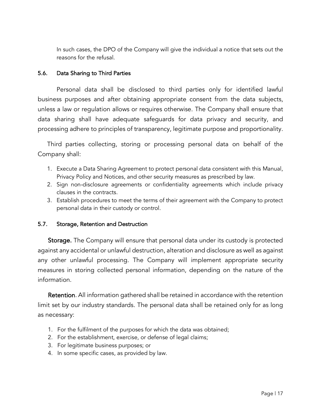In such cases, the DPO of the Company will give the individual a notice that sets out the reasons for the refusal.

#### 5.6. Data Sharing to Third Parties

Personal data shall be disclosed to third parties only for identified lawful business purposes and after obtaining appropriate consent from the data subjects, unless a law or regulation allows or requires otherwise. The Company shall ensure that data sharing shall have adequate safeguards for data privacy and security, and processing adhere to principles of transparency, legitimate purpose and proportionality.

Third parties collecting, storing or processing personal data on behalf of the Company shall:

- 1. Execute a Data Sharing Agreement to protect personal data consistent with this Manual, Privacy Policy and Notices, and other security measures as prescribed by law.
- 2. Sign non-disclosure agreements or confidentiality agreements which include privacy clauses in the contracts.
- 3. Establish procedures to meet the terms of their agreement with the Company to protect personal data in their custody or control.

#### 5.7. Storage, Retention and Destruction

Storage. The Company will ensure that personal data under its custody is protected against any accidental or unlawful destruction, alteration and disclosure as well as against any other unlawful processing. The Company will implement appropriate security measures in storing collected personal information, depending on the nature of the information.

Retention. All information gathered shall be retained in accordance with the retention limit set by our industry standards. The personal data shall be retained only for as long as necessary:

- 1. For the fulfilment of the purposes for which the data was obtained;
- 2. For the establishment, exercise, or defense of legal claims;
- 3. For legitimate business purposes; or
- 4. In some specific cases, as provided by law.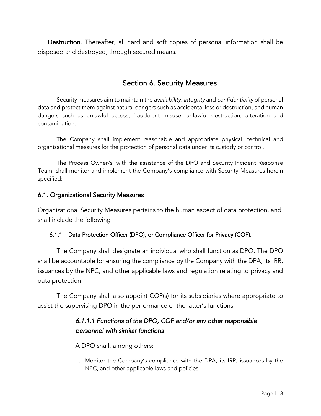Destruction. Thereafter, all hard and soft copies of personal information shall be disposed and destroyed, through secured means.

# Section 6. Security Measures

Security measures aim to maintain the *availability*, *integrity* and *confidentiality* of personal data and protect them against natural dangers such as accidental loss or destruction, and human dangers such as unlawful access, fraudulent misuse, unlawful destruction, alteration and contamination.

The Company shall implement reasonable and appropriate physical, technical and organizational measures for the protection of personal data under its custody or control.

The Process Owner/s, with the assistance of the DPO and Security Incident Response Team, shall monitor and implement the Company's compliance with Security Measures herein specified:

#### 6.1. Organizational Security Measures

Organizational Security Measures pertains to the human aspect of data protection, and shall include the following

#### 6.1.1 Data Protection Officer (DPO), or Compliance Officer for Privacy (COP).

The Company shall designate an individual who shall function as DPO. The DPO shall be accountable for ensuring the compliance by the Company with the DPA, its IRR, issuances by the NPC, and other applicable laws and regulation relating to privacy and data protection.

The Company shall also appoint COP(s) for its subsidiaries where appropriate to assist the supervising DPO in the performance of the latter's functions.

# *6.1.1.1 Functions of the DPO, COP and/or any other responsible personnel with similar functions*

A DPO shall, among others:

1. Monitor the Company's compliance with the DPA, its IRR, issuances by the NPC, and other applicable laws and policies.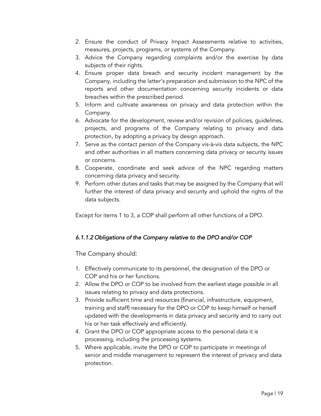- 2. Ensure the conduct of Privacy Impact Assessments relative to activities, measures, projects, programs, or systems of the Company.
- 3. Advice the Company regarding complaints and/or the exercise by data subjects of their rights.
- 4. Ensure proper data breach and security incident management by the Company, including the latter's preparation and submission to the NPC of the reports and other documentation concerning security incidents or data breaches within the prescribed period.
- 5. Inform and cultivate awareness on privacy and data protection within the Company.
- 6. Advocate for the development, review and/or revision of policies, guidelines, projects, and programs of the Company relating to privacy and data protection, by adopting a privacy by design approach.
- 7. Serve as the contact person of the Company vis-à-vis data subjects, the NPC and other authorities in all matters concerning data privacy or security issues or concerns.
- 8. Cooperate, coordinate and seek advice of the NPC regarding matters concerning data privacy and security.
- 9. Perform other duties and tasks that may be assigned by the Company that will further the interest of data privacy and security and uphold the rights of the data subjects.

Except for items 1 to 3, a COP shall perform all other functions of a DPO.

#### *6.1.1.2 Obligations of the Company relative to the DPO and/or COP*

The Company should:

- 1. Effectively communicate to its personnel, the designation of the DPO or COP and his or her functions.
- 2. Allow the DPO or COP to be involved from the earliest stage possible in all issues relating to privacy and data protections.
- 3. Provide sufficient time and resources (financial, infrastructure, equipment, training and staff) necessary for the DPO or COP to keep himself or herself updated with the developments in data privacy and security and to carry out his or her task effectively and efficiently.
- 4. Grant the DPO or COP appropriate access to the personal data it is processing, including the processing systems.
- 5. Where applicable, invite the DPO or COP to participate in meetings of senior and middle management to represent the interest of privacy and data protection.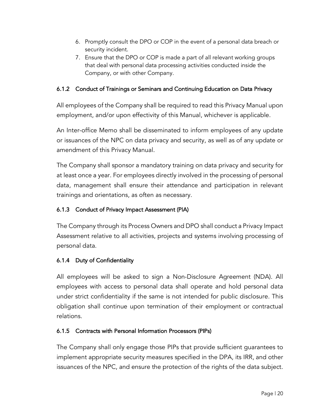- 6. Promptly consult the DPO or COP in the event of a personal data breach or security incident.
- 7. Ensure that the DPO or COP is made a part of all relevant working groups that deal with personal data processing activities conducted inside the Company, or with other Company.

#### 6.1.2 Conduct of Trainings or Seminars and Continuing Education on Data Privacy

All employees of the Company shall be required to read this Privacy Manual upon employment, and/or upon effectivity of this Manual, whichever is applicable.

An Inter-office Memo shall be disseminated to inform employees of any update or issuances of the NPC on data privacy and security, as well as of any update or amendment of this Privacy Manual.

The Company shall sponsor a mandatory training on data privacy and security for at least once a year. For employees directly involved in the processing of personal data, management shall ensure their attendance and participation in relevant trainings and orientations, as often as necessary.

#### 6.1.3 Conduct of Privacy Impact Assessment (PIA)

The Company through its Process Owners and DPO shall conduct a Privacy Impact Assessment relative to all activities, projects and systems involving processing of personal data.

#### 6.1.4 Duty of Confidentiality

All employees will be asked to sign a Non-Disclosure Agreement (NDA). All employees with access to personal data shall operate and hold personal data under strict confidentiality if the same is not intended for public disclosure. This obligation shall continue upon termination of their employment or contractual relations.

#### 6.1.5 Contracts with Personal Information Processors (PIPs)

The Company shall only engage those PIPs that provide sufficient guarantees to implement appropriate security measures specified in the DPA, its IRR, and other issuances of the NPC, and ensure the protection of the rights of the data subject.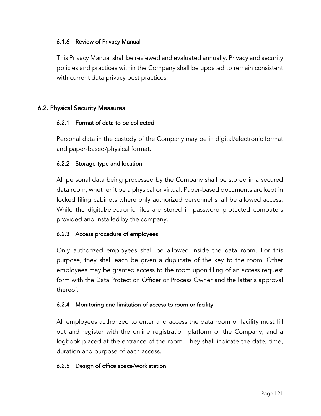#### 6.1.6 Review of Privacy Manual

This Privacy Manual shall be reviewed and evaluated annually. Privacy and security policies and practices within the Company shall be updated to remain consistent with current data privacy best practices.

#### 6.2. Physical Security Measures

#### 6.2.1 Format of data to be collected

Personal data in the custody of the Company may be in digital/electronic format and paper-based/physical format.

#### 6.2.2 Storage type and location

All personal data being processed by the Company shall be stored in a secured data room, whether it be a physical or virtual. Paper-based documents are kept in locked filing cabinets where only authorized personnel shall be allowed access. While the digital/electronic files are stored in password protected computers provided and installed by the company.

#### 6.2.3 Access procedure of employees

Only authorized employees shall be allowed inside the data room. For this purpose, they shall each be given a duplicate of the key to the room. Other employees may be granted access to the room upon filing of an access request form with the Data Protection Officer or Process Owner and the latter's approval thereof.

#### 6.2.4 Monitoring and limitation of access to room or facility

All employees authorized to enter and access the data room or facility must fill out and register with the online registration platform of the Company, and a logbook placed at the entrance of the room. They shall indicate the date, time, duration and purpose of each access.

#### 6.2.5 Design of office space/work station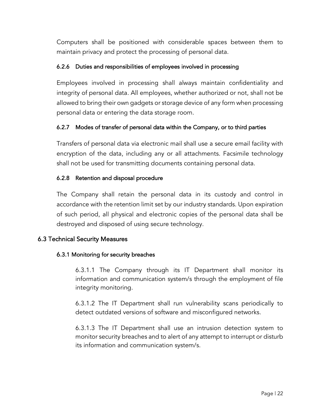Computers shall be positioned with considerable spaces between them to maintain privacy and protect the processing of personal data.

#### 6.2.6 Duties and responsibilities of employees involved in processing

Employees involved in processing shall always maintain confidentiality and integrity of personal data. All employees, whether authorized or not, shall not be allowed to bring their own gadgets or storage device of any form when processing personal data or entering the data storage room.

#### 6.2.7 Modes of transfer of personal data within the Company, or to third parties

Transfers of personal data via electronic mail shall use a secure email facility with encryption of the data, including any or all attachments. Facsimile technology shall not be used for transmitting documents containing personal data.

#### 6.2.8 Retention and disposal procedure

The Company shall retain the personal data in its custody and control in accordance with the retention limit set by our industry standards. Upon expiration of such period, all physical and electronic copies of the personal data shall be destroyed and disposed of using secure technology.

#### 6.3 Technical Security Measures

#### 6.3.1 Monitoring for security breaches

6.3.1.1 The Company through its IT Department shall monitor its information and communication system/s through the employment of file integrity monitoring.

6.3.1.2 The IT Department shall run vulnerability scans periodically to detect outdated versions of software and misconfigured networks.

6.3.1.3 The IT Department shall use an intrusion detection system to monitor security breaches and to alert of any attempt to interrupt or disturb its information and communication system/s.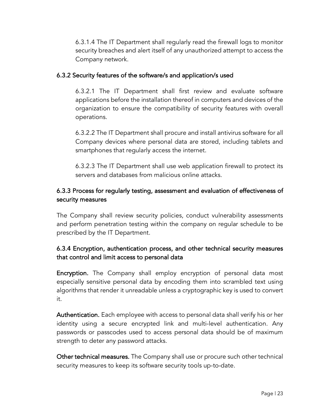6.3.1.4 The IT Department shall regularly read the firewall logs to monitor security breaches and alert itself of any unauthorized attempt to access the Company network.

#### 6.3.2 Security features of the software/s and application/s used

6.3.2.1 The IT Department shall first review and evaluate software applications before the installation thereof in computers and devices of the organization to ensure the compatibility of security features with overall operations.

6.3.2.2 The IT Department shall procure and install antivirus software for all Company devices where personal data are stored, including tablets and smartphones that regularly access the internet.

6.3.2.3 The IT Department shall use web application firewall to protect its servers and databases from malicious online attacks.

# 6.3.3 Process for regularly testing, assessment and evaluation of effectiveness of security measures

The Company shall review security policies, conduct vulnerability assessments and perform penetration testing within the company on regular schedule to be prescribed by the IT Department.

## 6.3.4 Encryption, authentication process, and other technical security measures that control and limit access to personal data

Encryption. The Company shall employ encryption of personal data most especially sensitive personal data by encoding them into scrambled text using algorithms that render it unreadable unless a cryptographic key is used to convert it.

Authentication. Each employee with access to personal data shall verify his or her identity using a secure encrypted link and multi-level authentication. Any passwords or passcodes used to access personal data should be of maximum strength to deter any password attacks.

Other technical measures. The Company shall use or procure such other technical security measures to keep its software security tools up-to-date.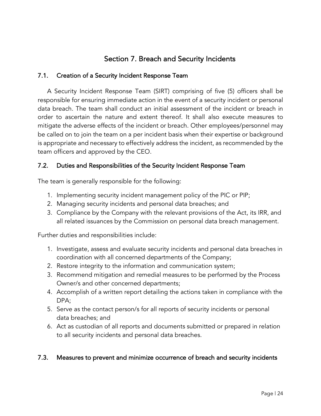# Section 7. Breach and Security Incidents

#### 7.1. Creation of a Security Incident Response Team

A Security Incident Response Team (SIRT) comprising of five (5) officers shall be responsible for ensuring immediate action in the event of a security incident or personal data breach. The team shall conduct an initial assessment of the incident or breach in order to ascertain the nature and extent thereof. It shall also execute measures to mitigate the adverse effects of the incident or breach. Other employees/personnel may be called on to join the team on a per incident basis when their expertise or background is appropriate and necessary to effectively address the incident, as recommended by the team officers and approved by the CEO.

#### 7.2. Duties and Responsibilities of the Security Incident Response Team

The team is generally responsible for the following:

- 1. Implementing security incident management policy of the PIC or PIP;
- 2. Managing security incidents and personal data breaches; and
- 3. Compliance by the Company with the relevant provisions of the Act, its IRR, and all related issuances by the Commission on personal data breach management.

Further duties and responsibilities include:

- 1. Investigate, assess and evaluate security incidents and personal data breaches in coordination with all concerned departments of the Company;
- 2. Restore integrity to the information and communication system;
- 3. Recommend mitigation and remedial measures to be performed by the Process Owner/s and other concerned departments;
- 4. Accomplish of a written report detailing the actions taken in compliance with the DPA;
- 5. Serve as the contact person/s for all reports of security incidents or personal data breaches; and
- 6. Act as custodian of all reports and documents submitted or prepared in relation to all security incidents and personal data breaches.

#### 7.3. Measures to prevent and minimize occurrence of breach and security incidents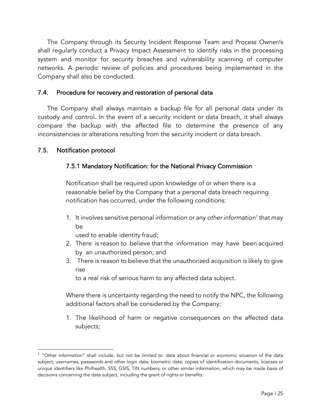The Company through its Security Incident Response Team and Process Owner/s shall regularly conduct a Privacy Impact Assessment to identify risks in the processing system and monitor for security breaches and vulnerability scanning of computer networks. A periodic review of policies and procedures being implemented in the Company shall also be conducted.

#### 7.4. Procedure for recovery and restoration of personal data

The Company shall always maintain a backup file for all personal data under its custody and control. In the event of a security incident or data breach, it shall always compare the backup with the affected file to determine the presence of any inconsistencies or alterations resulting from the security incident or data breach.

#### 7.5. Notification protocol

 $\overline{a}$ 

#### 7.5.1 Mandatory Notification: for the National Privacy Commission

Notification shall be required upon knowledge of or when there is a reasonable belief by the Company that a personal data breach requiring notification has occurred, under the following conditions:

1. It involves sensitive personal information or any *other information1* that may be

used to enable identity fraud;

- 2. There is reason to believe that the information may have been acquired by an unauthorized person; and
- 3. There is reason to believe that the unauthorized acquisition is likely to give rise

to a real risk of serious harm to any affected data subject.

Where there is uncertainty regarding the need to notify the NPC, the following additional factors shall be considered by the Company:

1. The likelihood of harm or negative consequences on the affected data subjects;

<sup>&</sup>lt;sup>1</sup> "Other information" shall include, but not be limited to: data about financial or economic situation of the data subject; usernames, passwords and other login data; biometric data; copies of identification documents, licenses or unique identifiers like Philhealth, SSS, GSIS, TIN numbers; or other similar information, which may be made basis of decisions concerning the data subject, including the grant of rights or benefits.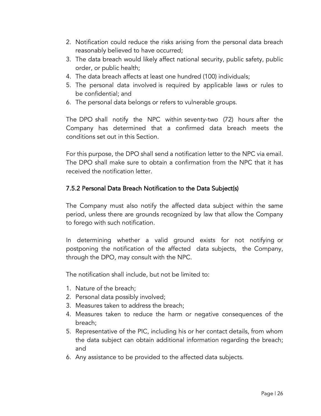- 2. Notification could reduce the risks arising from the personal data breach reasonably believed to have occurred;
- 3. The data breach would likely affect national security, public safety, public order, or public health;
- 4. The data breach affects at least one hundred (100) individuals;
- 5. The personal data involved is required by applicable laws or rules to be confidential; and
- 6. The personal data belongs or refers to vulnerable groups.

The DPO shall notify the NPC within seventy-two (72) hours after the Company has determined that a confirmed data breach meets the conditions set out in this Section.

For this purpose, the DPO shall send a notification letter to the NPC via email. The DPO shall make sure to obtain a confirmation from the NPC that it has received the notification letter.

## 7.5.2 Personal Data Breach Notification to the Data Subject(s)

The Company must also notify the affected data subject within the same period, unless there are grounds recognized by law that allow the Company to forego with such notification.

In determining whether a valid ground exists for not notifying or postponing the notification of the affected data subjects, the Company, through the DPO, may consult with the NPC.

The notification shall include, but not be limited to:

- 1. Nature of the breach;
- 2. Personal data possibly involved;
- 3. Measures taken to address the breach;
- 4. Measures taken to reduce the harm or negative consequences of the breach;
- 5. Representative of the PIC, including his or her contact details, from whom the data subject can obtain additional information regarding the breach; and
- 6. Any assistance to be provided to the affected data subjects.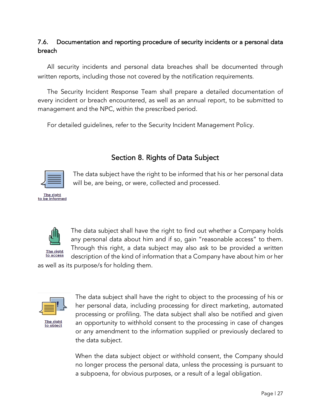## 7.6. Documentation and reporting procedure of security incidents or a personal data breach

All security incidents and personal data breaches shall be documented through written reports, including those not covered by the notification requirements.

The Security Incident Response Team shall prepare a detailed documentation of every incident or breach encountered, as well as an annual report, to be submitted to management and the NPC, within the prescribed period.

For detailed guidelines, refer to the Security Incident Management Policy.

# Section 8. Rights of Data Subject



The right to be informed The data subject have the right to be informed that his or her personal data will be, are being, or were, collected and processed.



The data subject shall have the right to find out whether a Company holds any personal data about him and if so, gain "reasonable access" to them. Through this right, a data subject may also ask to be provided a written description of the kind of information that a Company have about him or her

as well as its purpose/s for holding them.



The data subject shall have the right to object to the processing of his or her personal data, including processing for direct marketing, automated processing or profiling. The data subject shall also be notified and given an opportunity to withhold consent to the processing in case of changes or any amendment to the information supplied or previously declared to the data subject.

When the data subject object or withhold consent, the Company should no longer process the personal data, unless the processing is pursuant to a subpoena, for obvious purposes, or a result of a legal obligation.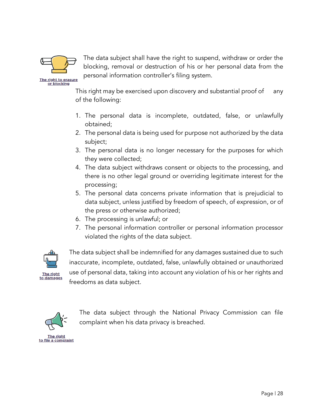

The data subject shall have the right to suspend, withdraw or order the blocking, removal or destruction of his or her personal data from the personal information controller's filing system.

This right may be exercised upon discovery and substantial proof of any of the following:

- 1. The personal data is incomplete, outdated, false, or unlawfully obtained;
- 2. The personal data is being used for purpose not authorized by the data subject;
- 3. The personal data is no longer necessary for the purposes for which they were collected;
- 4. The data subject withdraws consent or objects to the processing, and there is no other legal ground or overriding legitimate interest for the processing;
- 5. The personal data concerns private information that is prejudicial to data subject, unless justified by freedom of speech, of expression, or of the press or otherwise authorized;
- 6. The processing is unlawful; or
- 7. The personal information controller or personal information processor violated the rights of the data subject.



The data subject shall be indemnified for any damages sustained due to such inaccurate, incomplete, outdated, false, unlawfully obtained or unauthorized use of personal data, taking into account any violation of his or her rights and freedoms as data subject.



The data subject through the National Privacy Commission can file complaint when his data privacy is breached.

The right to file a complaint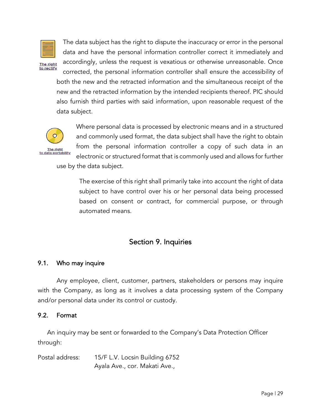

The right to rectify

The data subject has the right to dispute the inaccuracy or error in the personal data and have the personal information controller correct it immediately and accordingly, unless the request is vexatious or otherwise unreasonable. Once corrected, the personal information controller shall ensure the accessibility of both the new and the retracted information and the simultaneous receipt of the new and the retracted information by the intended recipients thereof. PIC should also furnish third parties with said information, upon reasonable request of the

data subject.



Where personal data is processed by electronic means and in a structured and commonly used format, the data subject shall have the right to obtain from the personal information controller a copy of such data in an electronic or structured format that is commonly used and allows for further

use by the data subject.

The exercise of this right shall primarily take into account the right of data subject to have control over his or her personal data being processed based on consent or contract, for commercial purpose, or through automated means.

# Section 9. Inquiries

#### 9.1. Who may inquire

Any employee, client, customer, partners, stakeholders or persons may inquire with the Company, as long as it involves a data processing system of the Company and/or personal data under its control or custody.

#### 9.2. Format

An inquiry may be sent or forwarded to the Company's Data Protection Officer through:

Postal address: 15/F L.V. Locsin Building 6752 Ayala Ave., cor. Makati Ave.,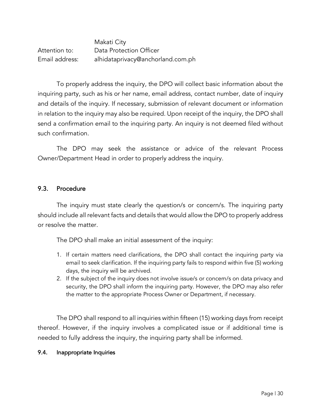|                | Makati City                       |
|----------------|-----------------------------------|
| Attention to:  | Data Protection Officer           |
| Email address: | alhidataprivacy@anchorland.com.ph |

 To properly address the inquiry, the DPO will collect basic information about the inquiring party, such as his or her name, email address, contact number, date of inquiry and details of the inquiry. If necessary, submission of relevant document or information in relation to the inquiry may also be required. Upon receipt of the inquiry, the DPO shall send a confirmation email to the inquiring party. An inquiry is not deemed filed without such confirmation.

The DPO may seek the assistance or advice of the relevant Process Owner/Department Head in order to properly address the inquiry.

#### 9.3. Procedure

 The inquiry must state clearly the question/s or concern/s. The inquiring party should include all relevant facts and details that would allow the DPO to properly address or resolve the matter.

The DPO shall make an initial assessment of the inquiry:

- 1. If certain matters need clarifications, the DPO shall contact the inquiring party via email to seek clarification. If the inquiring party fails to respond within five (5) working days, the inquiry will be archived.
- 2. If the subject of the inquiry does not involve issue/s or concern/s on data privacy and security, the DPO shall inform the inquiring party. However, the DPO may also refer the matter to the appropriate Process Owner or Department, if necessary.

The DPO shall respond to all inquiries within fifteen (15) working days from receipt thereof. However, if the inquiry involves a complicated issue or if additional time is needed to fully address the inquiry, the inquiring party shall be informed.

#### 9.4. Inappropriate Inquiries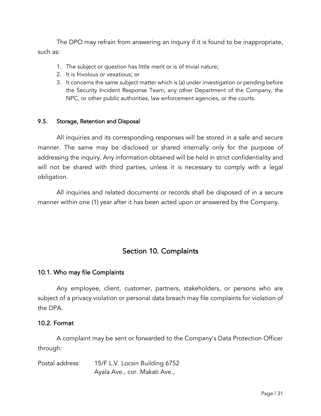The DPO may refrain from answering an inquiry if it is found to be inappropriate, such as:

- 1. The subject or question has little merit or is of trivial nature;
- 2. It is frivolous or vexatious; or
- 3. It concerns the same subject matter which is (a) under investigation or pending before the Security Incident Response Team, any other Department of the Company, the NPC, or other public authorities, law enforcement agencies, or the courts.

#### 9.5. Storage, Retention and Disposal

 All inquiries and its corresponding responses will be stored in a safe and secure manner. The same may be disclosed or shared internally only for the purpose of addressing the inquiry. Any information obtained will be held in strict confidentiality and will not be shared with third parties, unless it is necessary to comply with a legal obligation.

All inquiries and related documents or records shall be disposed of in a secure manner within one (1) year after it has been acted upon or answered by the Company.

# Section 10. Complaints

#### 10.1. Who may file Complaints

Any employee, client, customer, partners, stakeholders, or persons who are subject of a privacy violation or personal data breach may file complaints for violation of the DPA.

#### 10.2. Format

A complaint may be sent or forwarded to the Company's Data Protection Officer through:

Postal address: 15/F L.V. Locsin Building 6752 Ayala Ave., cor. Makati Ave.,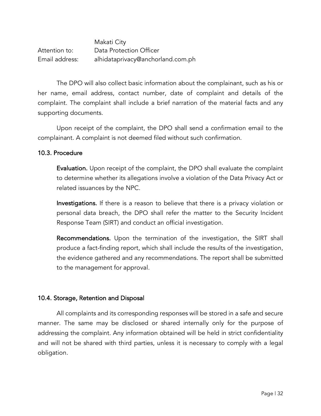|                | Makati City                       |
|----------------|-----------------------------------|
| Attention to:  | Data Protection Officer           |
| Email address: | alhidataprivacy@anchorland.com.ph |

The DPO will also collect basic information about the complainant, such as his or her name, email address, contact number, date of complaint and details of the complaint. The complaint shall include a brief narration of the material facts and any supporting documents.

Upon receipt of the complaint, the DPO shall send a confirmation email to the complainant. A complaint is not deemed filed without such confirmation.

#### 10.3. Procedure

Evaluation. Upon receipt of the complaint, the DPO shall evaluate the complaint to determine whether its allegations involve a violation of the Data Privacy Act or related issuances by the NPC.

Investigations. If there is a reason to believe that there is a privacy violation or personal data breach, the DPO shall refer the matter to the Security Incident Response Team (SIRT) and conduct an official investigation.

Recommendations. Upon the termination of the investigation, the SIRT shall produce a fact-finding report, which shall include the results of the investigation, the evidence gathered and any recommendations. The report shall be submitted to the management for approval.

#### 10.4. Storage, Retention and Disposal

All complaints and its corresponding responses will be stored in a safe and secure manner. The same may be disclosed or shared internally only for the purpose of addressing the complaint. Any information obtained will be held in strict confidentiality and will not be shared with third parties, unless it is necessary to comply with a legal obligation.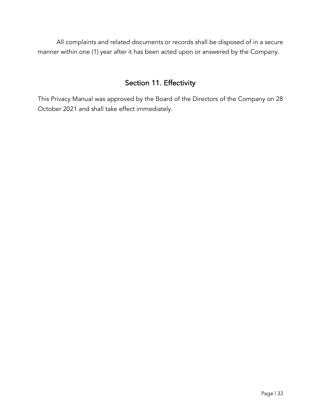All complaints and related documents or records shall be disposed of in a secure manner within one (1) year after it has been acted upon or answered by the Company.

# Section 11. Effectivity

This Privacy Manual was approved by the Board of the Directors of the Company on 28 October 2021 and shall take effect immediately.